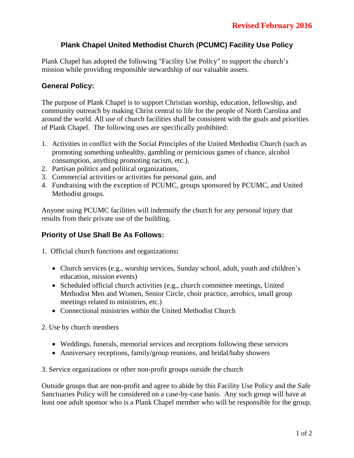# **Plank Chapel United Methodist Church (PCUMC) Facility Use Policy**

Plank Chapel has adopted the following "Facility Use Policy" to support the church's mission while providing responsible stewardship of our valuable assets.

#### **General Policy:**

The purpose of Plank Chapel is to support Christian worship, education, fellowship, and community outreach by making Christ central to life for the people of North Carolina and around the world. All use of church facilities shall be consistent with the goals and priorities of Plank Chapel. The following uses are specifically prohibited:

- 1. Activities in conflict with the Social Principles of the United Methodist Church (such as promoting something unhealthy, gambling or pernicious games of chance, alcohol consumption, anything promoting racism, etc.),
- 2. Partisan politics and political organizations,
- 3. Commercial activities or activities for personal gain, and
- 4. Fundraising with the exception of PCUMC, groups sponsored by PCUMC, and United Methodist groups.

Anyone using PCUMC facilities will indemnify the church for any personal injury that results from their private use of the building.

# **Priority of Use Shall Be As Follows:**

- 1. Official church functions and organizations**:**
	- Church services (e.g., worship services, Sunday school, adult, youth and children's education, mission events)
	- Scheduled official church activities (e.g., church committee meetings, United Methodist Men and Women, Senior Circle, choir practice, aerobics, small group meetings related to ministries, etc.)
	- Connectional ministries within the United Methodist Church
- 2. Use by church members
	- Weddings, funerals, memorial services and receptions following these services
	- Anniversary receptions, family/group reunions, and bridal/baby showers

3. Service organizations or other non-profit groups outside the church

Outside groups that are non-profit and agree to abide by this Facility Use Policy and the Safe Sanctuaries Policy will be considered on a case-by-case basis. Any such group will have at least one adult sponsor who is a Plank Chapel member who will be responsible for the group.